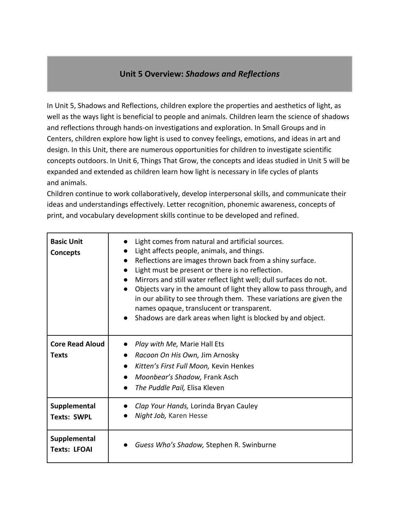## **Unit 5 Overview:** *Shadows and Reflections*

In Unit 5, Shadows and Reflections, children explore the properties and aesthetics of light, as well as the ways light is beneficial to people and animals. Children learn the science of shadows and reflections through hands-on investigations and exploration. In Small Groups and in Centers, children explore how light is used to convey feelings, emotions, and ideas in art and design. In this Unit, there are numerous opportunities for children to investigate scientific concepts outdoors. In Unit 6, Things That Grow, the concepts and ideas studied in Unit 5 will be expanded and extended as children learn how light is necessary in life cycles of plants and animals.

Children continue to work collaboratively, develop interpersonal skills, and communicate their ideas and understandings effectively. Letter recognition, phonemic awareness, concepts of print, and vocabulary development skills continue to be developed and refined.

| <b>Basic Unit</b><br>Concepts          | Light comes from natural and artificial sources.<br>Light affects people, animals, and things.<br>Reflections are images thrown back from a shiny surface.<br>$\bullet$<br>Light must be present or there is no reflection.<br>Mirrors and still water reflect light well; dull surfaces do not.<br>Objects vary in the amount of light they allow to pass through, and<br>in our ability to see through them. These variations are given the<br>names opaque, translucent or transparent.<br>Shadows are dark areas when light is blocked by and object. |
|----------------------------------------|-----------------------------------------------------------------------------------------------------------------------------------------------------------------------------------------------------------------------------------------------------------------------------------------------------------------------------------------------------------------------------------------------------------------------------------------------------------------------------------------------------------------------------------------------------------|
| <b>Core Read Aloud</b><br><b>Texts</b> | Play with Me, Marie Hall Ets<br>Racoon On His Own, Jim Arnosky<br>Kitten's First Full Moon, Kevin Henkes<br>Moonbear's Shadow, Frank Asch<br>The Puddle Pail, Elisa Kleven                                                                                                                                                                                                                                                                                                                                                                                |
| Supplemental<br><b>Texts: SWPL</b>     | Clap Your Hands, Lorinda Bryan Cauley<br>Night Job, Karen Hesse                                                                                                                                                                                                                                                                                                                                                                                                                                                                                           |
| Supplemental<br><b>Texts: LFOAI</b>    | Guess Who's Shadow, Stephen R. Swinburne                                                                                                                                                                                                                                                                                                                                                                                                                                                                                                                  |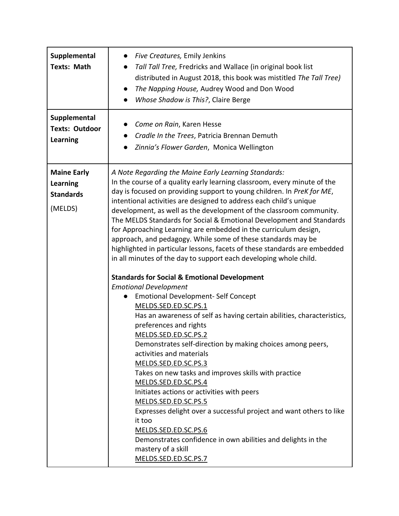| Supplemental<br><b>Texts: Math</b>                                   | <b>Five Creatures, Emily Jenkins</b><br>$\bullet$<br>Tall Tall Tree, Fredricks and Wallace (in original book list<br>distributed in August 2018, this book was mistitled The Tall Tree)<br>The Napping House, Audrey Wood and Don Wood<br>$\bullet$<br>Whose Shadow is This?, Claire Berge                                                                                                                                                                                                                                                                                                                                                                                                                                                                                                                                                                                                                                                                                                                                                                                                                                                                                                                                                                                                                                                                                                                                                                                                                       |
|----------------------------------------------------------------------|------------------------------------------------------------------------------------------------------------------------------------------------------------------------------------------------------------------------------------------------------------------------------------------------------------------------------------------------------------------------------------------------------------------------------------------------------------------------------------------------------------------------------------------------------------------------------------------------------------------------------------------------------------------------------------------------------------------------------------------------------------------------------------------------------------------------------------------------------------------------------------------------------------------------------------------------------------------------------------------------------------------------------------------------------------------------------------------------------------------------------------------------------------------------------------------------------------------------------------------------------------------------------------------------------------------------------------------------------------------------------------------------------------------------------------------------------------------------------------------------------------------|
| <b>Supplemental</b><br><b>Texts: Outdoor</b><br><b>Learning</b>      | Come on Rain, Karen Hesse<br>Cradle In the Trees, Patricia Brennan Demuth<br>Zinnia's Flower Garden, Monica Wellington                                                                                                                                                                                                                                                                                                                                                                                                                                                                                                                                                                                                                                                                                                                                                                                                                                                                                                                                                                                                                                                                                                                                                                                                                                                                                                                                                                                           |
| <b>Maine Early</b><br><b>Learning</b><br><b>Standards</b><br>(MELDS) | A Note Regarding the Maine Early Learning Standards:<br>In the course of a quality early learning classroom, every minute of the<br>day is focused on providing support to young children. In PreK for ME,<br>intentional activities are designed to address each child's unique<br>development, as well as the development of the classroom community.<br>The MELDS Standards for Social & Emotional Development and Standards<br>for Approaching Learning are embedded in the curriculum design,<br>approach, and pedagogy. While some of these standards may be<br>highlighted in particular lessons, facets of these standards are embedded<br>in all minutes of the day to support each developing whole child.<br><b>Standards for Social &amp; Emotional Development</b><br><b>Emotional Development</b><br><b>Emotional Development- Self Concept</b><br>MELDS.SED.ED.SC.PS.1<br>Has an awareness of self as having certain abilities, characteristics,<br>preferences and rights<br>MELDS.SED.ED.SC.PS.2<br>Demonstrates self-direction by making choices among peers,<br>activities and materials<br>MELDS.SED.ED.SC.PS.3<br>Takes on new tasks and improves skills with practice<br>MELDS.SED.ED.SC.PS.4<br>Initiates actions or activities with peers<br>MELDS.SED.ED.SC.PS.5<br>Expresses delight over a successful project and want others to like<br>it too<br>MELDS.SED.ED.SC.PS.6<br>Demonstrates confidence in own abilities and delights in the<br>mastery of a skill<br>MELDS.SED.ED.SC.PS.7 |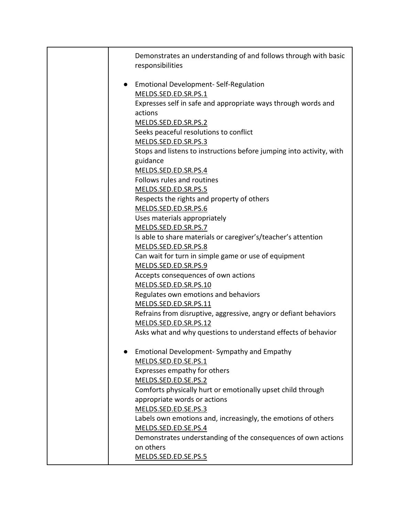| Demonstrates an understanding of and follows through with basic<br>responsibilities                                                                                      |
|--------------------------------------------------------------------------------------------------------------------------------------------------------------------------|
| <b>Emotional Development-Self-Regulation</b><br>MELDS.SED.ED.SR.PS.1<br>Expresses self in safe and appropriate ways through words and<br>actions<br>MELDS.SED.ED.SR.PS.2 |
| Seeks peaceful resolutions to conflict                                                                                                                                   |
| MELDS.SED.ED.SR.PS.3<br>Stops and listens to instructions before jumping into activity, with<br>guidance                                                                 |
| MELDS.SED.ED.SR.PS.4<br>Follows rules and routines                                                                                                                       |
| MELDS.SED.ED.SR.PS.5<br>Respects the rights and property of others                                                                                                       |
| MELDS.SED.ED.SR.PS.6<br>Uses materials appropriately                                                                                                                     |
| MELDS.SED.ED.SR.PS.7<br>Is able to share materials or caregiver's/teacher's attention                                                                                    |
| MELDS.SED.ED.SR.PS.8                                                                                                                                                     |
| Can wait for turn in simple game or use of equipment<br>MELDS.SED.ED.SR.PS.9                                                                                             |
| Accepts consequences of own actions<br>MELDS.SED.ED.SR.PS.10                                                                                                             |
| Regulates own emotions and behaviors<br>MELDS.SED.ED.SR.PS.11                                                                                                            |
| Refrains from disruptive, aggressive, angry or defiant behaviors<br>MELDS.SED.ED.SR.PS.12                                                                                |
| Asks what and why questions to understand effects of behavior                                                                                                            |
| <b>Emotional Development-Sympathy and Empathy</b><br>MELDS.SED.ED.SE.PS.1                                                                                                |
| Expresses empathy for others                                                                                                                                             |
| MELDS.SED.ED.SE.PS.2<br>Comforts physically hurt or emotionally upset child through                                                                                      |
| appropriate words or actions<br>MELDS.SED.ED.SE.PS.3                                                                                                                     |
| Labels own emotions and, increasingly, the emotions of others<br>MELDS.SED.ED.SE.PS.4                                                                                    |
| Demonstrates understanding of the consequences of own actions<br>on others                                                                                               |
| MELDS.SED.ED.SE.PS.5                                                                                                                                                     |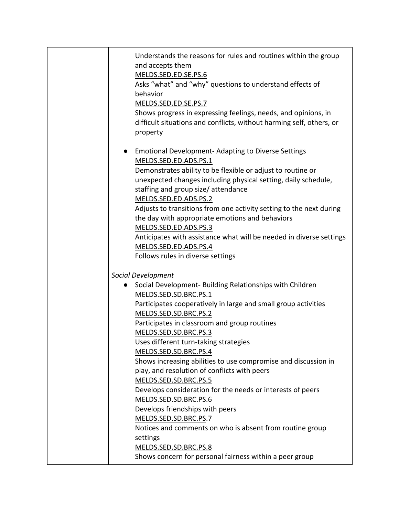| Understands the reasons for rules and routines within the group<br>and accepts them<br>MELDS.SED.ED.SE.PS.6<br>Asks "what" and "why" questions to understand effects of<br>behavior<br>MELDS.SED.ED.SE.PS.7<br>Shows progress in expressing feelings, needs, and opinions, in<br>difficult situations and conflicts, without harming self, others, or<br>property                                                                                                                                                                                                                                                                                                                                                                                                                                       |
|---------------------------------------------------------------------------------------------------------------------------------------------------------------------------------------------------------------------------------------------------------------------------------------------------------------------------------------------------------------------------------------------------------------------------------------------------------------------------------------------------------------------------------------------------------------------------------------------------------------------------------------------------------------------------------------------------------------------------------------------------------------------------------------------------------|
| <b>Emotional Development- Adapting to Diverse Settings</b><br>$\bullet$<br>MELDS.SED.ED.ADS.PS.1<br>Demonstrates ability to be flexible or adjust to routine or<br>unexpected changes including physical setting, daily schedule,<br>staffing and group size/ attendance<br>MELDS.SED.ED.ADS.PS.2<br>Adjusts to transitions from one activity setting to the next during<br>the day with appropriate emotions and behaviors<br>MELDS.SED.ED.ADS.PS.3<br>Anticipates with assistance what will be needed in diverse settings<br>MELDS.SED.ED.ADS.PS.4<br>Follows rules in diverse settings                                                                                                                                                                                                               |
|                                                                                                                                                                                                                                                                                                                                                                                                                                                                                                                                                                                                                                                                                                                                                                                                         |
| Social Development<br>Social Development- Building Relationships with Children<br>MELDS.SED.SD.BRC.PS.1<br>Participates cooperatively in large and small group activities<br>MELDS.SED.SD.BRC.PS.2<br>Participates in classroom and group routines<br>MELDS.SED.SD.BRC.PS.3<br>Uses different turn-taking strategies<br>MELDS.SED.SD.BRC.PS.4<br>Shows increasing abilities to use compromise and discussion in<br>play, and resolution of conflicts with peers<br>MELDS.SED.SD.BRC.PS.5<br>Develops consideration for the needs or interests of peers<br>MELDS.SED.SD.BRC.PS.6<br>Develops friendships with peers<br>MELDS.SED.SD.BRC.PS.7<br>Notices and comments on who is absent from routine group<br>settings<br>MELDS.SED.SD.BRC.PS.8<br>Shows concern for personal fairness within a peer group |
|                                                                                                                                                                                                                                                                                                                                                                                                                                                                                                                                                                                                                                                                                                                                                                                                         |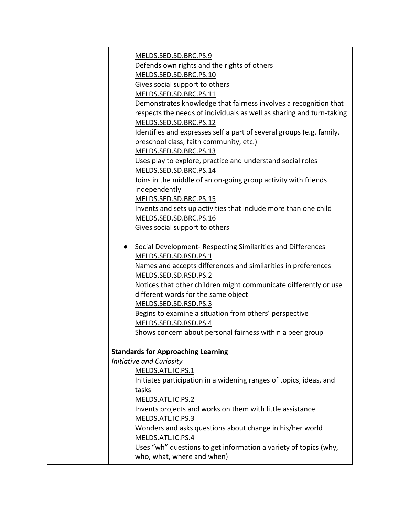| MELDS.SED.SD.BRC.PS.9<br>Defends own rights and the rights of others                                                                                               |
|--------------------------------------------------------------------------------------------------------------------------------------------------------------------|
| MELDS.SED.SD.BRC.PS.10                                                                                                                                             |
| Gives social support to others                                                                                                                                     |
| MELDS.SED.SD.BRC.PS.11<br>Demonstrates knowledge that fairness involves a recognition that<br>respects the needs of individuals as well as sharing and turn-taking |
| MELDS.SED.SD.BRC.PS.12                                                                                                                                             |
| Identifies and expresses self a part of several groups (e.g. family,                                                                                               |
| preschool class, faith community, etc.)<br>MELDS.SED.SD.BRC.PS.13                                                                                                  |
| Uses play to explore, practice and understand social roles                                                                                                         |
| MELDS.SED.SD.BRC.PS.14                                                                                                                                             |
| Joins in the middle of an on-going group activity with friends                                                                                                     |
| independently                                                                                                                                                      |
| MELDS.SED.SD.BRC.PS.15                                                                                                                                             |
| Invents and sets up activities that include more than one child                                                                                                    |
| MELDS.SED.SD.BRC.PS.16                                                                                                                                             |
| Gives social support to others                                                                                                                                     |
|                                                                                                                                                                    |
| Social Development- Respecting Similarities and Differences<br>MELDS.SED.SD.RSD.PS.1                                                                               |
| Names and accepts differences and similarities in preferences                                                                                                      |
| MELDS.SED.SD.RSD.PS.2                                                                                                                                              |
| Notices that other children might communicate differently or use                                                                                                   |
| different words for the same object                                                                                                                                |
| MELDS.SED.SD.RSD.PS.3                                                                                                                                              |
| Begins to examine a situation from others' perspective                                                                                                             |
| MELDS.SED.SD.RSD.PS.4                                                                                                                                              |
| Shows concern about personal fairness within a peer group                                                                                                          |
| <b>Standards for Approaching Learning</b>                                                                                                                          |
| <b>Initiative and Curiosity</b>                                                                                                                                    |
| MELDS.ATL.IC.PS.1                                                                                                                                                  |
| Initiates participation in a widening ranges of topics, ideas, and                                                                                                 |
| tasks                                                                                                                                                              |
| MELDS.ATL.IC.PS.2                                                                                                                                                  |
| Invents projects and works on them with little assistance                                                                                                          |
| MELDS.ATL.IC.PS.3                                                                                                                                                  |
| Wonders and asks questions about change in his/her world                                                                                                           |
| MELDS.ATL.IC.PS.4<br>Uses "wh" questions to get information a variety of topics (why,                                                                              |
| who, what, where and when)                                                                                                                                         |
|                                                                                                                                                                    |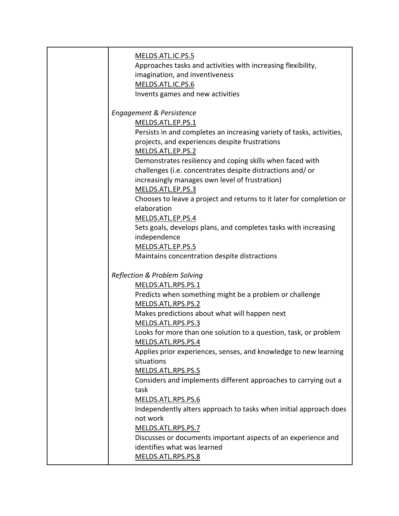| MELDS.ATL.IC.PS.5<br>Approaches tasks and activities with increasing flexibility,<br>imagination, and inventiveness<br>MELDS.ATL.IC.PS.6<br>Invents games and new activities                                                                                                                                                                                                                                                                                                                                                                                                                                                                                       |
|--------------------------------------------------------------------------------------------------------------------------------------------------------------------------------------------------------------------------------------------------------------------------------------------------------------------------------------------------------------------------------------------------------------------------------------------------------------------------------------------------------------------------------------------------------------------------------------------------------------------------------------------------------------------|
| Engagement & Persistence<br>MELDS.ATL.EP.PS.1<br>Persists in and completes an increasing variety of tasks, activities,<br>projects, and experiences despite frustrations<br>MELDS.ATL.EP.PS.2<br>Demonstrates resiliency and coping skills when faced with<br>challenges (i.e. concentrates despite distractions and/or<br>increasingly manages own level of frustration)<br>MELDS.ATL.EP.PS.3<br>Chooses to leave a project and returns to it later for completion or<br>elaboration<br>MELDS.ATL.EP.PS.4<br>Sets goals, develops plans, and completes tasks with increasing<br>independence<br>MELDS.ATL.EP.PS.5<br>Maintains concentration despite distractions |
| <b>Reflection &amp; Problem Solving</b><br>MELDS.ATL.RPS.PS.1<br>Predicts when something might be a problem or challenge<br>MELDS.ATL.RPS.PS.2<br>Makes predictions about what will happen next<br>MELDS.ATL.RPS.PS.3<br>Looks for more than one solution to a question, task, or problem<br>MELDS.ATL.RPS.PS.4<br>Applies prior experiences, senses, and knowledge to new learning<br>situations<br>MELDS.ATL.RPS.PS.5                                                                                                                                                                                                                                            |
| Considers and implements different approaches to carrying out a<br>task<br>MELDS.ATL.RPS.PS.6<br>Independently alters approach to tasks when initial approach does<br>not work<br>MELDS.ATL.RPS.PS.7<br>Discusses or documents important aspects of an experience and<br>identifies what was learned<br>MELDS.ATL.RPS.PS.8                                                                                                                                                                                                                                                                                                                                         |